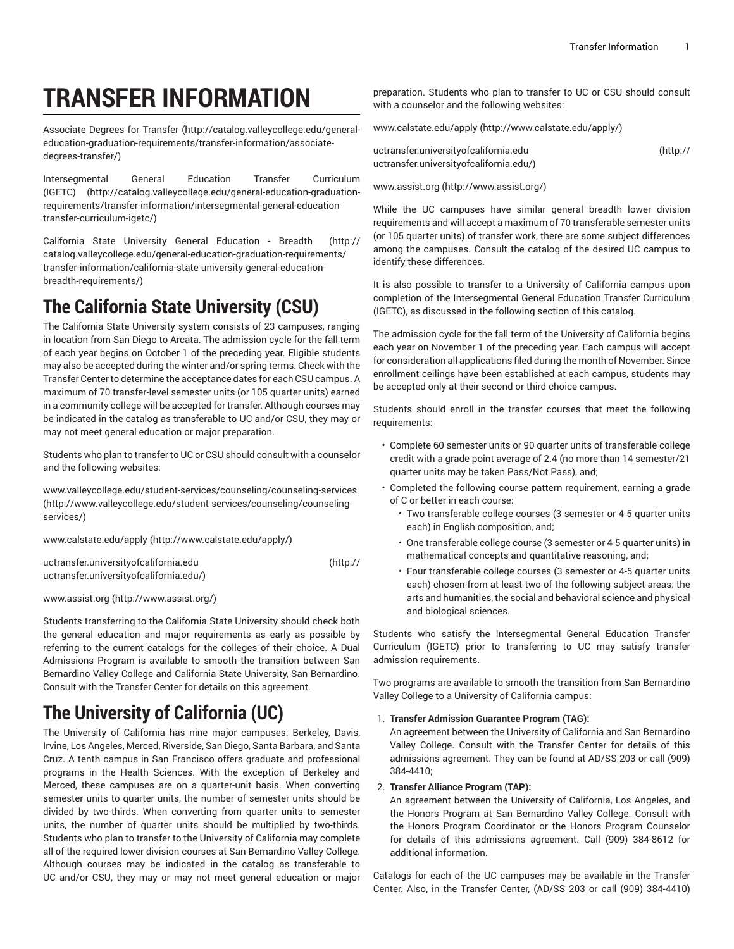# **TRANSFER INFORMATION**

[Associate](http://catalog.valleycollege.edu/general-education-graduation-requirements/transfer-information/associate-degrees-transfer/) Degrees for Transfer [\(http://catalog.valleycollege.edu/general](http://catalog.valleycollege.edu/general-education-graduation-requirements/transfer-information/associate-degrees-transfer/)[education-graduation-requirements/transfer-information/associate](http://catalog.valleycollege.edu/general-education-graduation-requirements/transfer-information/associate-degrees-transfer/)[degrees-transfer/](http://catalog.valleycollege.edu/general-education-graduation-requirements/transfer-information/associate-degrees-transfer/))

[Intersegmental](http://catalog.valleycollege.edu/general-education-graduation-requirements/transfer-information/intersegmental-general-education-transfer-curriculum-igetc/) General Education Transfer Curriculum [\(IGETC\)](http://catalog.valleycollege.edu/general-education-graduation-requirements/transfer-information/intersegmental-general-education-transfer-curriculum-igetc/) [\(http://catalog.valleycollege.edu/general-education-graduation](http://catalog.valleycollege.edu/general-education-graduation-requirements/transfer-information/intersegmental-general-education-transfer-curriculum-igetc/)[requirements/transfer-information/intersegmental-general-education](http://catalog.valleycollege.edu/general-education-graduation-requirements/transfer-information/intersegmental-general-education-transfer-curriculum-igetc/)[transfer-curriculum-igetc/](http://catalog.valleycollege.edu/general-education-graduation-requirements/transfer-information/intersegmental-general-education-transfer-curriculum-igetc/))

California State University General [Education](http://catalog.valleycollege.edu/general-education-graduation-requirements/transfer-information/california-state-university-general-education-breadth-requirements/) - Breadth [\(http://](http://catalog.valleycollege.edu/general-education-graduation-requirements/transfer-information/california-state-university-general-education-breadth-requirements/) [catalog.valleycollege.edu/general-education-graduation-requirements/](http://catalog.valleycollege.edu/general-education-graduation-requirements/transfer-information/california-state-university-general-education-breadth-requirements/) [transfer-information/california-state-university-general-education](http://catalog.valleycollege.edu/general-education-graduation-requirements/transfer-information/california-state-university-general-education-breadth-requirements/)[breadth-requirements/\)](http://catalog.valleycollege.edu/general-education-graduation-requirements/transfer-information/california-state-university-general-education-breadth-requirements/)

## **The California State University (CSU)**

The California State University system consists of 23 campuses, ranging in location from San Diego to Arcata. The admission cycle for the fall term of each year begins on October 1 of the preceding year. Eligible students may also be accepted during the winter and/or spring terms. Check with the Transfer Center to determine the acceptance dates for each CSU campus. A maximum of 70 transfer-level semester units (or 105 quarter units) earned in a community college will be accepted for transfer. Although courses may be indicated in the catalog as transferable to UC and/or CSU, they may or may not meet general education or major preparation.

Students who plan to transfer to UC or CSU should consult with a counselor and the following websites:

[www.valleycollege.edu/student-services/counseling/counseling-services](http://www.valleycollege.edu/student-services/counseling/counseling-services/) ([http://www.valleycollege.edu/student-services/counseling/counseling](http://www.valleycollege.edu/student-services/counseling/counseling-services/)[services/](http://www.valleycollege.edu/student-services/counseling/counseling-services/))

[www.calstate.edu/apply](http://www.calstate.edu/apply/) (<http://www.calstate.edu/apply/>)

[uctransfer.universityofcalifornia.edu \(http://](http://uctransfer.universityofcalifornia.edu/) [uctransfer.universityofcalifornia.edu/](http://uctransfer.universityofcalifornia.edu/))

```
www.assist.org (http://www.assist.org/)
```
Students transferring to the California State University should check both the general education and major requirements as early as possible by referring to the current catalogs for the colleges of their choice. A Dual Admissions Program is available to smooth the transition between San Bernardino Valley College and California State University, San Bernardino. Consult with the Transfer Center for details on this agreement.

# **The University of California (UC)**

The University of California has nine major campuses: Berkeley, Davis, Irvine, Los Angeles, Merced, Riverside, San Diego, Santa Barbara, and Santa Cruz. A tenth campus in San Francisco offers graduate and professional programs in the Health Sciences. With the exception of Berkeley and Merced, these campuses are on a quarter-unit basis. When converting semester units to quarter units, the number of semester units should be divided by two-thirds. When converting from quarter units to semester units, the number of quarter units should be multiplied by two-thirds. Students who plan to transfer to the University of California may complete all of the required lower division courses at San Bernardino Valley College. Although courses may be indicated in the catalog as transferable to UC and/or CSU, they may or may not meet general education or major preparation. Students who plan to transfer to UC or CSU should consult with a counselor and the following websites:

[www.calstate.edu/apply](http://www.calstate.edu/apply/) [\(http://www.calstate.edu/apply/\)](http://www.calstate.edu/apply/)

| uctransfer.universityofcalifornia.edu   | (htp:// |
|-----------------------------------------|---------|
| uctransfer.universityofcalifornia.edu/) |         |

#### [www.assist.org \(http://www.assist.org/](http://www.assist.org/))

While the UC campuses have similar general breadth lower division requirements and will accept a maximum of 70 transferable semester units (or 105 quarter units) of transfer work, there are some subject differences among the campuses. Consult the catalog of the desired UC campus to identify these differences.

It is also possible to transfer to a University of California campus upon completion of the Intersegmental General Education Transfer Curriculum (IGETC), as discussed in the following section of this catalog.

The admission cycle for the fall term of the University of California begins each year on November 1 of the preceding year. Each campus will accept for consideration all applications filed during the month of November. Since enrollment ceilings have been established at each campus, students may be accepted only at their second or third choice campus.

Students should enroll in the transfer courses that meet the following requirements:

- Complete 60 semester units or 90 quarter units of transferable college credit with a grade point average of 2.4 (no more than 14 semester/21 quarter units may be taken Pass/Not Pass), and;
- Completed the following course pattern requirement, earning a grade of C or better in each course:
	- Two transferable college courses (3 semester or 4-5 quarter units each) in English composition, and;
	- One transferable college course (3 semester or 4-5 quarter units) in mathematical concepts and quantitative reasoning, and;
	- Four transferable college courses (3 semester or 4-5 quarter units each) chosen from at least two of the following subject areas: the arts and humanities, the social and behavioral science and physical and biological sciences.

Students who satisfy the Intersegmental General Education Transfer Curriculum (IGETC) prior to transferring to UC may satisfy transfer admission requirements.

Two programs are available to smooth the transition from San Bernardino Valley College to a University of California campus:

#### 1. **Transfer Admission Guarantee Program (TAG):**

An agreement between the University of California and San Bernardino Valley College. Consult with the Transfer Center for details of this admissions agreement. They can be found at AD/SS 203 or call (909) 384-4410;

#### 2. **Transfer Alliance Program (TAP):**

An agreement between the University of California, Los Angeles, and the Honors Program at San Bernardino Valley College. Consult with the Honors Program Coordinator or the Honors Program Counselor for details of this admissions agreement. Call (909) 384-8612 for additional information.

Catalogs for each of the UC campuses may be available in the Transfer Center. Also, in the Transfer Center, (AD/SS 203 or call (909) 384-4410)